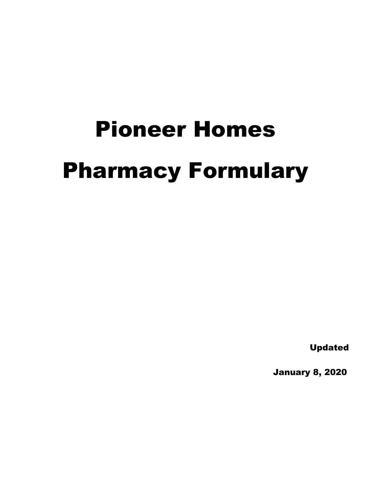# Pioneer Homes Pharmacy Formulary

Updated

January 8, 2020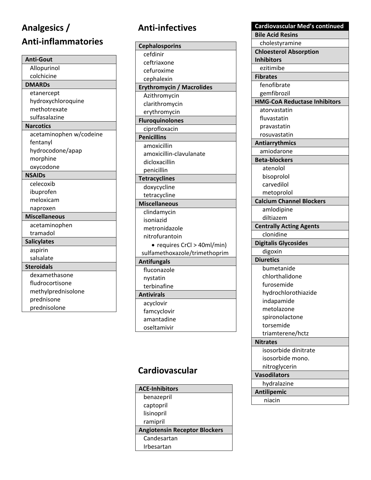# **Analgesics /** Anti-inflammatories

| <b>Anti-Gout</b>        |
|-------------------------|
| Allopurinol             |
| colchicine              |
| <b>DMARDs</b>           |
| etanercept              |
| hydroxychloroquine      |
| methotrexate            |
| sulfasalazine           |
| <b>Narcotics</b>        |
| acetaminophen w/codeine |
| fentanyl                |
| hydrocodone/apap        |
| morphine                |
| oxycodone               |
| <b>NSAIDs</b>           |
| celecoxib               |
| ibuprofen               |
| meloxicam               |
| naproxen                |
| <b>Miscellaneous</b>    |
| acetaminophen           |
| tramadol                |
| <b>Salicylates</b>      |
| aspirin                 |
| salsalate               |
| <b>Steroidals</b>       |
| dexamethasone           |
| fludrocortisone         |
| methylprednisolone      |
| prednisone              |
| prednisolone            |

# Anti-infectives

| <b>Cephalosporins</b>            |
|----------------------------------|
| cefdinir                         |
| ceftriaxone                      |
| cefuroxime                       |
| cephalexin                       |
| <b>Erythromycin / Macrolides</b> |
| Azithromycin                     |
| clarithromycin                   |
| erythromycin                     |
| <b>Fluroquinolones</b>           |
| ciprofloxacin                    |
| <b>Penicillins</b>               |
| amoxicillin                      |
| amoxicillin-clavulanate          |
| dicloxacillin                    |
| penicillin                       |
| <b>Tetracyclines</b>             |
| doxycycline                      |
| tetracycline                     |
| <b>Miscellaneous</b>             |
| clindamycin                      |
| isoniazid                        |
| metronidazole                    |
| nitrofurantoin                   |
| requires CrCl > 40ml/min)        |
| sulfamethoxazole/trimethoprim    |
| <b>Antifungals</b>               |
| fluconazole                      |
| nystatin                         |
| terbinafine                      |
| <b>Antivirals</b>                |
| acyclovir                        |
| famcyclovir                      |
| amantadine                       |
| oseltamivir                      |
|                                  |

# Cardiovascular

| <b>ACE-Inhibitors</b>                |  |  |
|--------------------------------------|--|--|
| benazepril                           |  |  |
| captopril                            |  |  |
| lisinopril                           |  |  |
| ramipril                             |  |  |
| <b>Angiotensin Receptor Blockers</b> |  |  |
| Candesartan                          |  |  |
| Irbesartan                           |  |  |

| Cardiovascular Med's continued      |
|-------------------------------------|
| <b>Bile Acid Resins</b>             |
| cholestyramine                      |
| <b>Chloesterol Absorption</b>       |
| <b>Inhibitors</b>                   |
| ezitimibe                           |
| <b>Fibrates</b>                     |
| fenofibrate                         |
| gemfibrozil                         |
| <b>HMG-CoA Reductase Inhibitors</b> |
| atorvastatin                        |
| fluvastatin                         |
| pravastatin                         |
| rosuvastatin                        |
| Antiarrythmics                      |
| amiodarone                          |
| <b>Beta-blockers</b>                |
| atenolol                            |
| bisoprolol                          |
| carvedilol                          |
| metoprolol                          |
| <b>Calcium Channel Blockers</b>     |
| amlodipine                          |
| diltiazem                           |
| <b>Centrally Acting Agents</b>      |
| clonidine                           |
| <b>Digitalis Glycosides</b>         |
| digoxin                             |
| <b>Diuretics</b>                    |
| bumetanide                          |
| chlorthalidone                      |
| furosemide                          |
| hydrochlorothiazide                 |
| indapamide                          |
| metolazone                          |
| spironolactone                      |
| torsemide                           |
| triamterene/hctz                    |
| <b>Nitrates</b>                     |
| isosorbide dinitrate                |
| isosorbide mono.                    |
| nitroglycerin                       |
| <b>Vasodilators</b>                 |
| hydralazine                         |
| <b>Antilipemic</b>                  |
| niacin                              |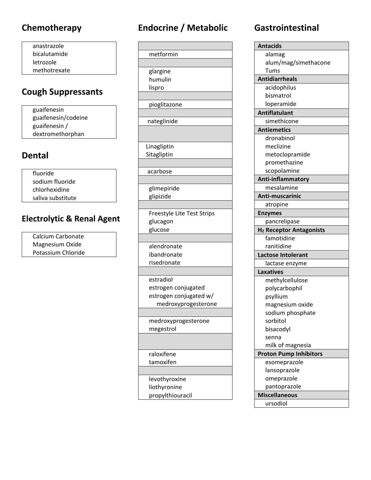anastrazole bicalutamide letrozole methotrexate

# **Cough Suppressants**

guaifenesin guaifenesin/codeine guaifenesin / dextromethorphan

#### **Dental**

fluoride sodium fluoride chlorhexidine saliva substitute

#### **Electrolytic & Renal Agent**

Calcium Carbonate Magnesium Oxide Potassium Chloride

# **Chemotherapy Endocrine / Metabolic Gastrointestinal**

| metformin                         |
|-----------------------------------|
|                                   |
| glargine                          |
| humulin                           |
| lispro                            |
|                                   |
| pioglitazone                      |
|                                   |
| nateglinide                       |
|                                   |
|                                   |
| Linagliptin                       |
| Sitagliptin                       |
|                                   |
| acarbose                          |
|                                   |
| glimepiride                       |
| glipizide                         |
|                                   |
| <b>Freestyle Lite Test Strips</b> |
| glucagon                          |
| glucose                           |
|                                   |
| alendronate                       |
| ibandronate                       |
| risedronate                       |
|                                   |
| estradiol                         |
| estrogen conjugated               |
| estrogen conjugated w/            |
| medroxyprogesterone               |
|                                   |
| medroxyprogesterone               |
| megestrol                         |
|                                   |
|                                   |
| raloxifene                        |
| tamoxifen                         |
|                                   |
| levothyroxine                     |
| liothyronine                      |
| propylthiouracil                  |

| <b>Antacids</b>                     |
|-------------------------------------|
| alamag                              |
| alum/mag/simethacone                |
| Tums                                |
| <b>Antidiarrheals</b>               |
| acidophilus                         |
| bismatrol                           |
| loperamide                          |
| <b>Antiflatulant</b>                |
| simethicone                         |
| <b>Antiemetics</b>                  |
| dronabinol                          |
| meclizine                           |
| metoclopramide                      |
| promethazine                        |
| scopolamine                         |
| Anti-inflammatory                   |
| mesalamine                          |
| Anti-muscarinic                     |
| atropine                            |
| <b>Enzymes</b>                      |
| pancrelipase                        |
| H <sub>2</sub> Receptor Antagonists |
| famotidine                          |
| ranitidine                          |
| <b>Lactose Intolerant</b>           |
| lactase enzyme                      |
| <b>Laxatives</b>                    |
| methylcellulose                     |
| polycarbophil                       |
| psyllium                            |
| magnesium oxide                     |
| sodium phosphate                    |
| sorbitol                            |
| bisacodyl                           |
| senna                               |
| milk of magnesia                    |
| <b>Proton Pump Inhibitors</b>       |
| esomeprazole                        |
| lansoprazole                        |
| omeprazole                          |
| pantoprazole                        |
| <b>Miscellaneous</b>                |
| ursodiol                            |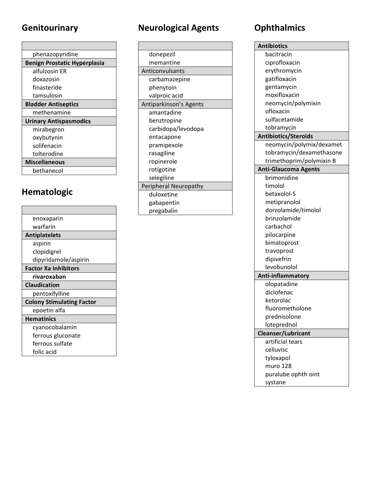# Genitourinary

| phenazopyridine                     |  |  |
|-------------------------------------|--|--|
| <b>Benign Prostatic Hyperplasia</b> |  |  |
| alfulzosin ER                       |  |  |
| doxazosin                           |  |  |
| finasteride                         |  |  |
| tamsulosin                          |  |  |
| <b>Bladder Antiseptics</b>          |  |  |
| methenamine                         |  |  |
| <b>Urinary Antispasmodics</b>       |  |  |
| mirabegron                          |  |  |
| oxybutynin                          |  |  |
| solifenacin                         |  |  |
| tolterodine                         |  |  |
| <b>Miscellaneous</b>                |  |  |
| bethanecol                          |  |  |

# Hematologic

| enoxaparin                       |
|----------------------------------|
| warfarin                         |
| <b>Antiplatelets</b>             |
| aspirin                          |
| clopidigrel                      |
| dipyridamole/aspirin             |
| <b>Factor Xa Inhibitors</b>      |
| rivaroxaban                      |
| <b>Claudication</b>              |
| pentoxifylline                   |
| <b>Colony Stimulating Factor</b> |
| epoetin alfa                     |
| <b>Hematinics</b>                |
| cyanocobalamin                   |
| ferrous gluconate                |
| ferrous sulfate                  |
| folic acid                       |
|                                  |

# **Neurological Agents**

| donepezil              |
|------------------------|
| memantine              |
| Anticonvulsants        |
| carbamazepine          |
| phenytoin              |
| valproic acid          |
| Antiparkinson's Agents |
| amantadine             |
| benztropine            |
| carbidopa/levodopa     |
| entacapone             |
| pramipexole            |
| rasagiline             |
| ropinerole             |
| rotigotine             |
| selegiline             |
| Peripheral Neuropathy  |
| duloxetine             |
| gabapentin             |
| pregabalin             |
|                        |

# **Ophthalmics**

| <b>Antibiotics</b>          |
|-----------------------------|
| bacitracin                  |
| ciprofloxacin               |
| erythromycin                |
| gatifloxacin                |
| gentamycin                  |
| moxifloxacin                |
| neomycin/polymixin          |
| ofloxacin                   |
| sulfacetamide               |
| tobramycin                  |
| <b>Antibiotics/Steroids</b> |
| neomycin/polymix/dexamet    |
| tobramycin/dexamethasone    |
| trimethoprim/polymixin B    |
| <b>Anti-Glaucoma Agents</b> |
| brimonidine                 |
| timolol                     |
| betaxolol-S                 |
| metipranolol                |
| dorzolamide/timolol         |
| brinzolamide                |
| carbachol                   |
| pilocarpine                 |
| bimatoprost                 |
| travoprost                  |
| dipivefrin                  |
| levobunolol                 |
| <b>Anti-inflammatory</b>    |
| olopatadine                 |
| diclofenac                  |
| ketorolac                   |
| fluorometholone             |
| prednisolone                |
| loteprednol                 |
| Cleanser/Lubricant          |
| artificial tears            |
| celluvisc                   |
| tyloxapol                   |
| muro 128                    |
| puralube ophth oint         |
| systane                     |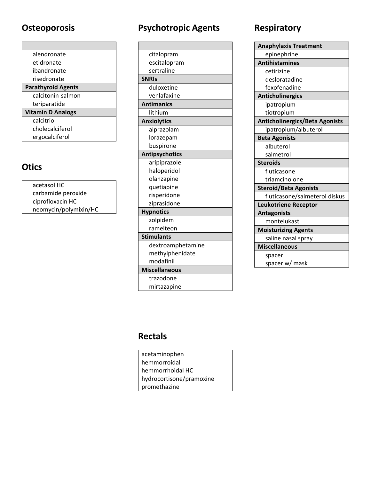## Osteoporosis

 $\blacksquare$ 

| alendronate               |
|---------------------------|
| etidronate                |
| ibandronate               |
| risedronate               |
| <b>Parathyroid Agents</b> |
| calcitonin-salmon         |
| teriparatide              |
| <b>Vitamin D Analogs</b>  |
| calcitriol                |
| cholecalciferol           |
| ergocalciferol            |

#### **Otics**

| acetasol HC           |  |
|-----------------------|--|
| carbamide peroxide    |  |
| ciprofloxacin HC      |  |
| neomycin/polymixin/HC |  |

# **Psychotropic Agents**

| citalopram            |
|-----------------------|
| escitalopram          |
| sertraline            |
| <b>SNRIS</b>          |
| duloxetine            |
| venlafaxine           |
| <b>Antimanics</b>     |
| lithium               |
| <b>Anxiolytics</b>    |
| alprazolam            |
| lorazepam             |
| buspirone             |
| <b>Antipsychotics</b> |
| aripiprazole          |
| haloperidol           |
| olanzapine            |
| quetiapine            |
| risperidone           |
| ziprasidone           |
| <b>Hypnotics</b>      |
| zolpidem              |
| ramelteon             |
| <b>Stimulants</b>     |
| dextroamphetamine     |
| methylphenidate       |
| modafinil             |
| <b>Miscellaneous</b>  |
| trazodone             |
| mirtazapine           |

# Respiratory

| <b>Anaphylaxis Treatment</b>          |
|---------------------------------------|
| epinephrine                           |
| <b>Antihistamines</b>                 |
| cetirizine                            |
| desloratadine                         |
| fexofenadine                          |
| <b>Anticholinergics</b>               |
| ipatropium                            |
| tiotropium                            |
| <b>Anticholinergics/Beta Agonists</b> |
| ipatropium/albuterol                  |
| <b>Beta Agonists</b>                  |
| albuterol                             |
| salmetrol                             |
| <b>Steroids</b>                       |
| fluticasone                           |
| triamcinolone                         |
| <b>Steroid/Beta Agonists</b>          |
| fluticasone/salmeterol diskus         |
| <b>Leukotriene Receptor</b>           |
| <b>Antagonists</b>                    |
| montelukast                           |
| <b>Moisturizing Agents</b>            |
| saline nasal spray                    |
| <b>Miscellaneous</b>                  |
| spacer                                |
| spacer w/ mask                        |
|                                       |

#### **Rectals**

acetaminophen hemmorroidal hemmorrhoidal HC hydrocortisone/pramoxine promethazine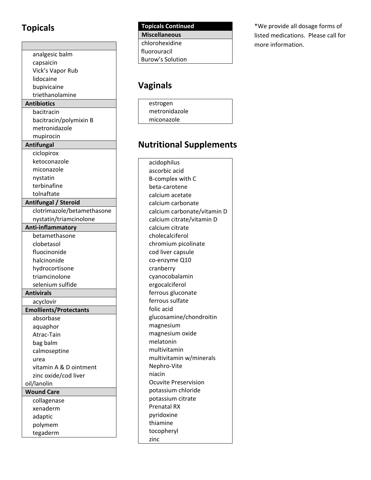## **Topicals**

| analgesic balm                |  |
|-------------------------------|--|
| capsaicin                     |  |
| Vick's Vapor Rub              |  |
| lidocaine                     |  |
| bupivicaine                   |  |
| triethanolamine               |  |
| <b>Antibiotics</b>            |  |
| bacitracin                    |  |
| bacitracin/polymixin B        |  |
| metronidazole                 |  |
| mupirocin                     |  |
| Antifungal                    |  |
| ciclopirox                    |  |
| ketoconazole                  |  |
| miconazole                    |  |
| nystatin                      |  |
| terbinafine                   |  |
| tolnaftate                    |  |
| Antifungal / Steroid          |  |
| clotrimazole/betamethasone    |  |
| nystatin/triamcinolone        |  |
| Anti-inflammatory             |  |
| betamethasone                 |  |
| clobetasol                    |  |
| fluocinonide                  |  |
| halcinonide                   |  |
| hydrocortisone                |  |
| triamcinolone                 |  |
| selenium sulfide              |  |
| <b>Antivirals</b>             |  |
| acyclovir                     |  |
| <b>Emollients/Protectants</b> |  |
| absorbase                     |  |
| aquaphor                      |  |
| Atrac-Tain                    |  |
| bag balm                      |  |
| calmoseptine                  |  |
| urea                          |  |
| vitamin A & D ointment        |  |
| zinc oxide/cod liver          |  |
| oil/lanolin                   |  |
| <b>Wound Care</b>             |  |
| collagenase                   |  |
| xenaderm                      |  |
| adaptic                       |  |
| polymem                       |  |
| tegaderm                      |  |
|                               |  |

| <b>Topicals Continued</b> |  |
|---------------------------|--|
| <b>Miscellaneous</b>      |  |
| chlorohexidine            |  |
| fluorouracil              |  |
| Burow's Solution          |  |
|                           |  |

### **Vaginals**

| estrogen      |  |
|---------------|--|
| metronidazole |  |
| miconazole    |  |

#### **Nutritional Supplements**

 acidophilus ascorbic acid B‐complex with C beta‐carotene calcium acetate calcium carbonate calcium carbonate/vitamin D calcium citrate/vitamin D calcium citrate cholecalciferol chromium picolinate cod liver capsule co‐enzyme Q10 cranberry cyanocobalamin ergocalciferol ferrous gluconate ferrous sulfate folic acid glucosamine/chondroitin magnesium magnesium oxide melatonin multivitamin multivitamin w/minerals Nephro‐Vite niacin Ocuvite Preservision potassium chloride potassium citrate Prenatal RX pyridoxine thiamine tocopheryl zinc

 \*We provide all dosage forms of listed medications. Please call for more information.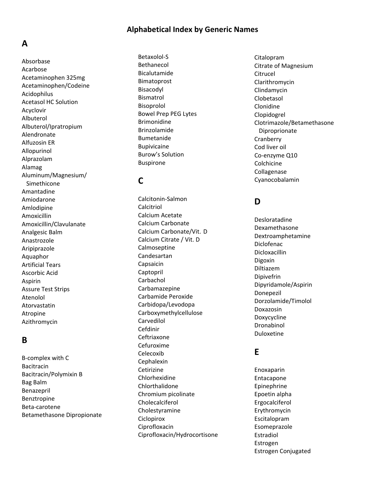#### **Alphabetical Index by Generic Names**

#### **A**

 Acarbose Acetaminophen 325mg Acetaminophen/Codeine Acetasol HC Solution Alfuzosin ER Simethicone Analgesic Balm Artificial Tears Ascorbic Acid Assure Test Strips Absorbase Acidophilus Acyclovir Albuterol Albuterol/Ipratropium Alendronate Allopurinol Alprazolam Alamag Aluminum/Magnesium/ Amantadine Amiodarone Amlodipine Amoxicillin Amoxicillin/Clavulanate Anastrozole Aripiprazole Aquaphor Aspirin Atenolol Atorvastatin Atropine Azithromycin

#### **B**

 B‐complex with C Bacitracin/Polymixin B Bag Balm Bacitracin Benazepril Benztropine Beta‐carotene Betamethasone Dipropionate

 Bowel Prep PEG Lytes Burow's Solution Betaxolol‐S Bethanecol Bicalutamide Bimatoprost Bisacodyl Bismatrol Bisoprolol Brimonidine Brinzolamide Bumetanide Bupivicaine Buspirone

#### **C**

 Calcium Acetate Calcium Carbonate Calcium Citrate / Vit. D Carbamide Peroxide Chromium picolinate Calcitonin‐Salmon Calcitriol Calcium Carbonate/Vit. D Calmoseptine Candesartan Capsaicin Captopril Carbachol Carbamazepine Carbidopa/Levodopa Carboxymethylcellulose Carvedilol Cefdinir Ceftriaxone Cefuroxime Celecoxib Cephalexin Cetirizine Chlorhexidine Chlorthalidone Cholecalciferol Cholestyramine **Ciclopirox** Ciprofloxacin Ciprofloxacin/Hydrocortisone

 Citrate of Magnesium Clotrimazole/Betamethasone Cod liver oil Co‐enzyme Q10 Citalopram **Citrucel** Clarithromycin Clindamycin Clobetasol Clonidine Clopidogrel Diproprionate **Cranberry** Colchicine Collagenase Cyanocobalamin

#### **D**

Desloratadine Dexamethasone Dextroamphetamine Diclofenac Dicloxacillin Digoxin Diltiazem Dipivefrin Dipyridamole/Aspirin Donepezil Dorzolamide/Timolol Doxazosin Doxycycline Dronabinol Duloxetine

#### **E**

 Epoetin alpha Estrogen ConjugatedEnoxaparin Entacapone Epinephrine Ergocalciferol Erythromycin Escitalopram Esomeprazole Estradiol Estrogen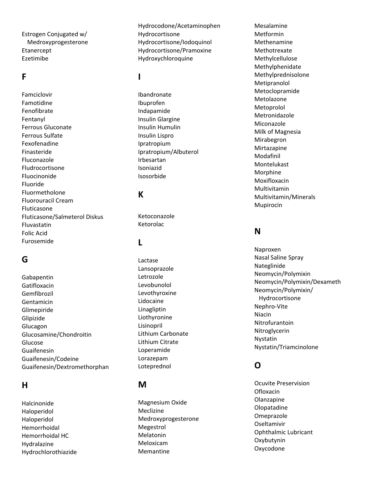Estrogen Conjugated w/ Medroxyprogesterone Etanercept Ezetimibe

#### **F**

 Ferrous Gluconate Ferrous Sulfate Fluorouracil Cream Fluticasone/Salmeterol Diskus Folic Acid Famciclovir Famotidine Fenofibrate Fentanyl Fexofenadine Finasteride Fluconazole Fludrocortisone Fluocinonide Fluoride Fluormetholone Fluticasone Fluvastatin Furosemide

#### **G**

Gabapentin Gatifloxacin Gemfibrozil Gentamicin Glimepiride Glipizide Glucagon Glucosamine/Chondroitin Glucose Guaifenesin Guaifenesin/Codeine Guaifenesin/Dextromethorphan

#### **H**

 Hemorrhoidal HC Halcinonide Haloperidol Haloperidol Hemorrhoidal Hydralazine Hydrochlorothiazide

Hydrocodone/Acetaminophen Hydrocortisone Hydrocortisone/Iodoquinol Hydrocortisone/Pramoxine Hydroxychloroquine

#### **I**

 Insulin Glargine Insulin Humulin Insulin Lispro Ibandronate Ibuprofen Indapamide Ipratropium Ipratropium/Albuterol Irbesartan Isoniazid Isosorbide

#### **K**

Ketoconazole Ketorolac

#### **L**

 Lithium Carbonate Lithium Citrate Lactase Lansoprazole Letrozole Levobunolol Levothyroxine Lidocaine Linagliptin Liothyronine Lisinopril Loperamide Lorazepam Loteprednol

#### **M**

 Magnesium Oxide Meclizine Medroxyprogesterone Megestrol Melatonin Meloxicam Memantine

 Milk of Magnesia Mesalamine Metformin Methenamine Methotrexate Methylcellulose Methylphenidate Methylprednisolone Metipranolol Metoclopramide Metolazone Metoprolol Metronidazole Miconazole Mirabegron Mirtazapine Modafinil Montelukast Morphine Moxifloxacin Multivitamin Multivitamin/Minerals Mupirocin

#### **N**

 Nasal Saline Spray Hydrocortisone Naproxen Nateglinide Neomycin/Polymixin Neomycin/Polymixin/Dexameth Neomycin/Polymixin/ Nephro ‐Vite Niacin Nitrofurantoin Nitroglycerin Nystatin Nystatin/Triamcinolone

#### **O**

 Ocuvite Preservision Ophthalmic Lubricant Ofloxacin Olanzapine Olopatadine Omeprazole Oseltamivir Oxybutynin Oxycodone